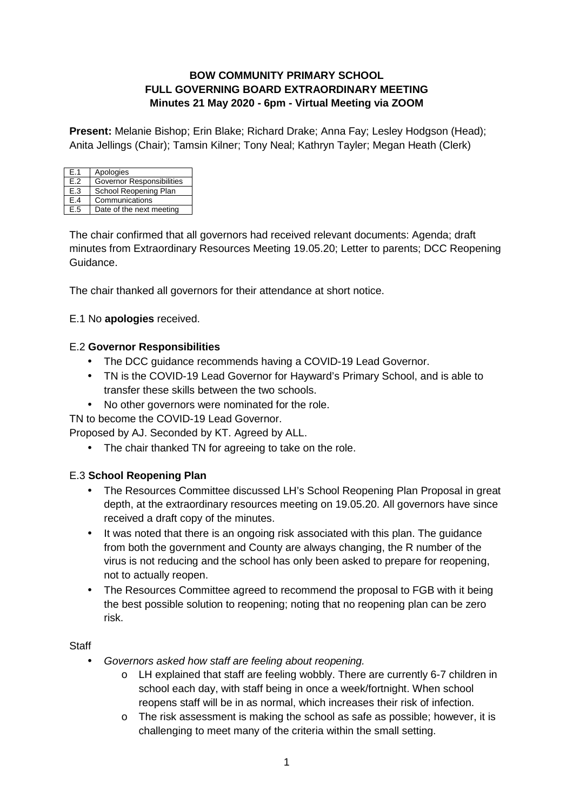### **BOW COMMUNITY PRIMARY SCHOOL FULL GOVERNING BOARD EXTRAORDINARY MEETING Minutes 21 May 2020 - 6pm - Virtual Meeting via ZOOM**

**Present:** Melanie Bishop; Erin Blake; Richard Drake; Anna Fay; Lesley Hodgson (Head); Anita Jellings (Chair); Tamsin Kilner; Tony Neal; Kathryn Tayler; Megan Heath (Clerk)

| F.1 | Apologies                        |
|-----|----------------------------------|
| F.2 | <b>Governor Responsibilities</b> |
| E.3 | School Reopening Plan            |
| F.4 | Communications                   |
| F.5 | Date of the next meeting         |

The chair confirmed that all governors had received relevant documents: Agenda; draft minutes from Extraordinary Resources Meeting 19.05.20; Letter to parents; DCC Reopening Guidance.

The chair thanked all governors for their attendance at short notice.

#### E.1 No **apologies** received.

#### E.2 **Governor Responsibilities**

- The DCC guidance recommends having a COVID-19 Lead Governor.
- TN is the COVID-19 Lead Governor for Hayward's Primary School, and is able to transfer these skills between the two schools.
- No other governors were nominated for the role.

TN to become the COVID-19 Lead Governor.

Proposed by AJ. Seconded by KT. Agreed by ALL.

• The chair thanked TN for agreeing to take on the role.

#### E.3 **School Reopening Plan**

- The Resources Committee discussed LH's School Reopening Plan Proposal in great depth, at the extraordinary resources meeting on 19.05.20. All governors have since received a draft copy of the minutes.
- It was noted that there is an ongoing risk associated with this plan. The guidance from both the government and County are always changing, the R number of the virus is not reducing and the school has only been asked to prepare for reopening, not to actually reopen.
- The Resources Committee agreed to recommend the proposal to FGB with it being the best possible solution to reopening; noting that no reopening plan can be zero risk.

**Staff** 

- Governors asked how staff are feeling about reopening.
	- o LH explained that staff are feeling wobbly. There are currently 6-7 children in school each day, with staff being in once a week/fortnight. When school reopens staff will be in as normal, which increases their risk of infection.
	- o The risk assessment is making the school as safe as possible; however, it is challenging to meet many of the criteria within the small setting.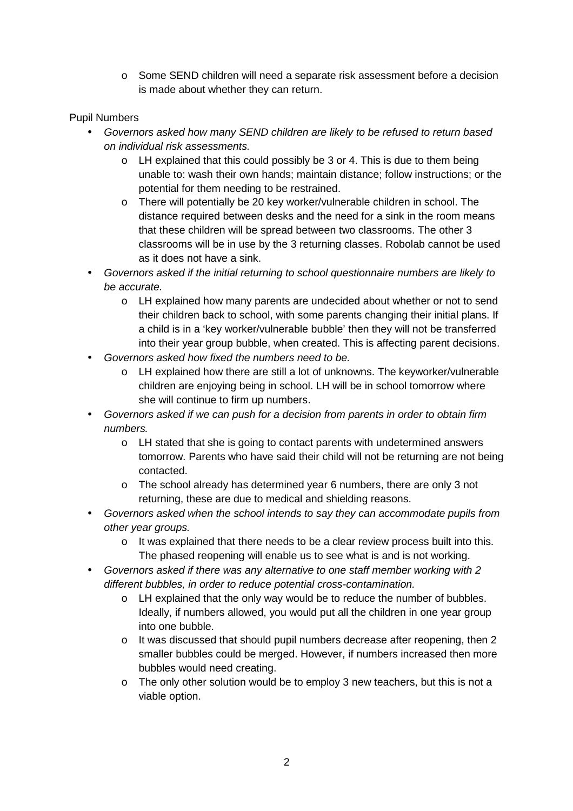o Some SEND children will need a separate risk assessment before a decision is made about whether they can return.

#### Pupil Numbers

- Governors asked how many SEND children are likely to be refused to return based on individual risk assessments.
	- o LH explained that this could possibly be 3 or 4. This is due to them being unable to: wash their own hands; maintain distance; follow instructions; or the potential for them needing to be restrained.
	- o There will potentially be 20 key worker/vulnerable children in school. The distance required between desks and the need for a sink in the room means that these children will be spread between two classrooms. The other 3 classrooms will be in use by the 3 returning classes. Robolab cannot be used as it does not have a sink.
- Governors asked if the initial returning to school questionnaire numbers are likely to be accurate.
	- o LH explained how many parents are undecided about whether or not to send their children back to school, with some parents changing their initial plans. If a child is in a 'key worker/vulnerable bubble' then they will not be transferred into their year group bubble, when created. This is affecting parent decisions.
- Governors asked how fixed the numbers need to be.
	- o LH explained how there are still a lot of unknowns. The keyworker/vulnerable children are enjoying being in school. LH will be in school tomorrow where she will continue to firm up numbers.
- Governors asked if we can push for a decision from parents in order to obtain firm numbers.
	- o LH stated that she is going to contact parents with undetermined answers tomorrow. Parents who have said their child will not be returning are not being contacted.
	- o The school already has determined year 6 numbers, there are only 3 not returning, these are due to medical and shielding reasons.
- Governors asked when the school intends to say they can accommodate pupils from other year groups.
	- o It was explained that there needs to be a clear review process built into this. The phased reopening will enable us to see what is and is not working.
- Governors asked if there was any alternative to one staff member working with 2 different bubbles, in order to reduce potential cross-contamination.
	- o LH explained that the only way would be to reduce the number of bubbles. Ideally, if numbers allowed, you would put all the children in one year group into one bubble.
	- o It was discussed that should pupil numbers decrease after reopening, then 2 smaller bubbles could be merged. However, if numbers increased then more bubbles would need creating.
	- o The only other solution would be to employ 3 new teachers, but this is not a viable option.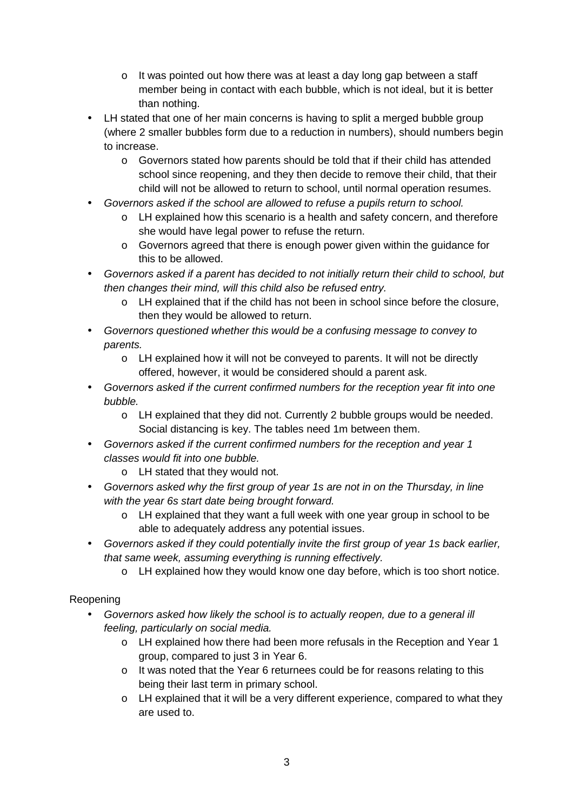- $\circ$  It was pointed out how there was at least a day long gap between a staff member being in contact with each bubble, which is not ideal, but it is better than nothing.
- LH stated that one of her main concerns is having to split a merged bubble group (where 2 smaller bubbles form due to a reduction in numbers), should numbers begin to increase.
	- o Governors stated how parents should be told that if their child has attended school since reopening, and they then decide to remove their child, that their child will not be allowed to return to school, until normal operation resumes.
- Governors asked if the school are allowed to refuse a pupils return to school.
	- o LH explained how this scenario is a health and safety concern, and therefore she would have legal power to refuse the return.
	- o Governors agreed that there is enough power given within the guidance for this to be allowed.
- Governors asked if a parent has decided to not initially return their child to school, but then changes their mind, will this child also be refused entry.
	- o LH explained that if the child has not been in school since before the closure, then they would be allowed to return.
- Governors questioned whether this would be a confusing message to convey to parents.
	- o LH explained how it will not be conveyed to parents. It will not be directly offered, however, it would be considered should a parent ask.
- Governors asked if the current confirmed numbers for the reception year fit into one bubble.
	- o LH explained that they did not. Currently 2 bubble groups would be needed. Social distancing is key. The tables need 1m between them.
- Governors asked if the current confirmed numbers for the reception and year 1 classes would fit into one bubble.
	- o LH stated that they would not.
- Governors asked why the first group of year 1s are not in on the Thursday, in line with the year 6s start date being brought forward.
	- $\circ$  LH explained that they want a full week with one year group in school to be able to adequately address any potential issues.
- Governors asked if they could potentially invite the first group of year 1s back earlier, that same week, assuming everything is running effectively.
	- o LH explained how they would know one day before, which is too short notice.

# Reopening

- Governors asked how likely the school is to actually reopen, due to a general ill feeling, particularly on social media.
	- o LH explained how there had been more refusals in the Reception and Year 1 group, compared to just 3 in Year 6.
	- o It was noted that the Year 6 returnees could be for reasons relating to this being their last term in primary school.
	- o LH explained that it will be a very different experience, compared to what they are used to.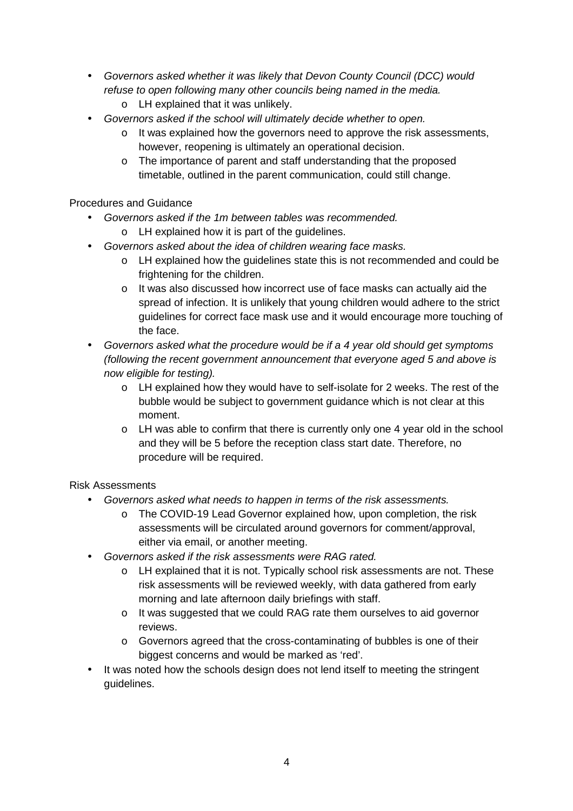- Governors asked whether it was likely that Devon County Council (DCC) would refuse to open following many other councils being named in the media.
	- o LH explained that it was unlikely.
- Governors asked if the school will ultimately decide whether to open.
	- $\circ$  It was explained how the governors need to approve the risk assessments, however, reopening is ultimately an operational decision.
	- o The importance of parent and staff understanding that the proposed timetable, outlined in the parent communication, could still change.

Procedures and Guidance

- Governors asked if the 1m between tables was recommended.
	- o LH explained how it is part of the guidelines.
- Governors asked about the idea of children wearing face masks.
	- o LH explained how the guidelines state this is not recommended and could be frightening for the children.
	- o It was also discussed how incorrect use of face masks can actually aid the spread of infection. It is unlikely that young children would adhere to the strict guidelines for correct face mask use and it would encourage more touching of the face.
- Governors asked what the procedure would be if a 4 year old should get symptoms (following the recent government announcement that everyone aged 5 and above is now eligible for testing).
	- o LH explained how they would have to self-isolate for 2 weeks. The rest of the bubble would be subject to government guidance which is not clear at this moment.
	- o LH was able to confirm that there is currently only one 4 year old in the school and they will be 5 before the reception class start date. Therefore, no procedure will be required.

#### Risk Assessments

- Governors asked what needs to happen in terms of the risk assessments.
	- o The COVID-19 Lead Governor explained how, upon completion, the risk assessments will be circulated around governors for comment/approval, either via email, or another meeting.
- Governors asked if the risk assessments were RAG rated.
	- o LH explained that it is not. Typically school risk assessments are not. These risk assessments will be reviewed weekly, with data gathered from early morning and late afternoon daily briefings with staff.
	- o It was suggested that we could RAG rate them ourselves to aid governor reviews.
	- o Governors agreed that the cross-contaminating of bubbles is one of their biggest concerns and would be marked as 'red'.
- It was noted how the schools design does not lend itself to meeting the stringent guidelines.